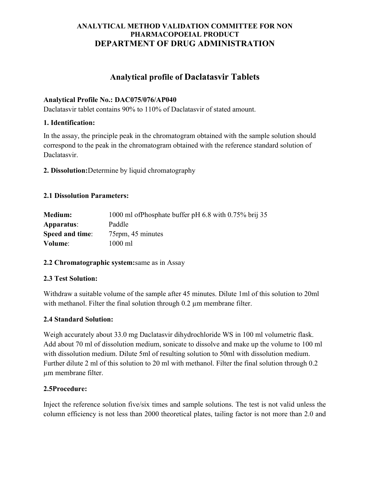# ANALYTICAL METHOD VALIDATION COMMITTEE FOR NON PHARMACOPOEIAL PRODUCT DEPARTMENT OF DRUG ADMINISTRATION

# Analytical profile of Daclatasvir Tablets

## Analytical Profile No.: DAC075/076/AP040

Daclatasvir tablet contains 90% to 110% of Daclatasvir of stated amount.

## 1. Identification:

In the assay, the principle peak in the chromatogram obtained with the sample solution should correspond to the peak in the chromatogram obtained with the reference standard solution of Daclatasvir.

2. Dissolution:Determine by liquid chromatography

# 2.1 Dissolution Parameters:

| <b>Medium:</b>  | 1000 ml of Phosphate buffer pH 6.8 with 0.75% brij 35 |
|-----------------|-------------------------------------------------------|
| Apparatus:      | Paddle                                                |
| Speed and time: | 75rpm, 45 minutes                                     |
| Volume:         | $1000 \text{ ml}$                                     |

## 2.2 Chromatographic system:same as in Assay

## 2.3 Test Solution:

Withdraw a suitable volume of the sample after 45 minutes. Dilute 1ml of this solution to 20ml with methanol. Filter the final solution through 0.2 µm membrane filter.

# 2.4 Standard Solution:

Weigh accurately about 33.0 mg Daclatasvir dihydrochloride WS in 100 ml volumetric flask. Add about 70 ml of dissolution medium, sonicate to dissolve and make up the volume to 100 ml with dissolution medium. Dilute 5ml of resulting solution to 50ml with dissolution medium. Further dilute 2 ml of this solution to 20 ml with methanol. Filter the final solution through 0.2 µm membrane filter.

## 2.5Procedure:

Inject the reference solution five/six times and sample solutions. The test is not valid unless the column efficiency is not less than 2000 theoretical plates, tailing factor is not more than 2.0 and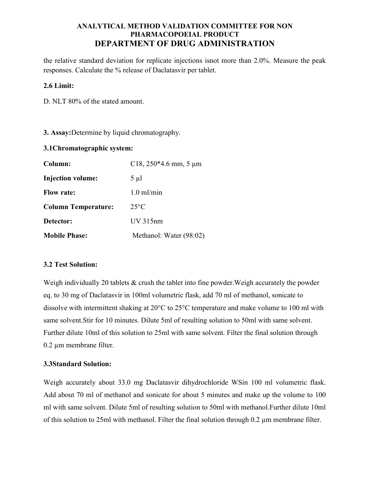## ANALYTICAL METHOD VALIDATION COMMITTEE FOR NON PHARMACOPOEIAL PRODUCT DEPARTMENT OF DRUG ADMINISTRATION

the relative standard deviation for replicate injections isnot more than 2.0%. Measure the peak responses. Calculate the % release of Daclatasvir per tablet.

#### 2.6 Limit:

D. NLT 80% of the stated amount.

3. Assay:Determine by liquid chromatography.

#### 3.1Chromatographic system:

| Column:                    | C18, $250*4.6$ mm, 5 µm |
|----------------------------|-------------------------|
| <b>Injection volume:</b>   | $5 \mu l$               |
| <b>Flow rate:</b>          | $1.0 \text{ ml/min}$    |
| <b>Column Temperature:</b> | $25^{\circ}$ C          |
| Detector:                  | $UV$ 315 $nm$           |
| <b>Mobile Phase:</b>       | Methanol: Water (98:02) |

## 3.2 Test Solution:

Weigh individually 20 tablets & crush the tablet into fine powder. Weigh accurately the powder eq. to 30 mg of Daclatasvir in 100ml volumetric flask, add 70 ml of methanol, sonicate to dissolve with intermittent shaking at 20°C to 25°C temperature and make volume to 100 ml with same solvent.Stir for 10 minutes. Dilute 5ml of resulting solution to 50ml with same solvent. Further dilute 10ml of this solution to 25ml with same solvent. Filter the final solution through 0.2 µm membrane filter.

#### 3.3Standard Solution:

Weigh accurately about 33.0 mg Daclatasvir dihydrochloride WSin 100 ml volumetric flask. Add about 70 ml of methanol and sonicate for about 5 minutes and make up the volume to 100 ml with same solvent. Dilute 5ml of resulting solution to 50ml with methanol.Further dilute 10ml of this solution to 25ml with methanol. Filter the final solution through 0.2 µm membrane filter.